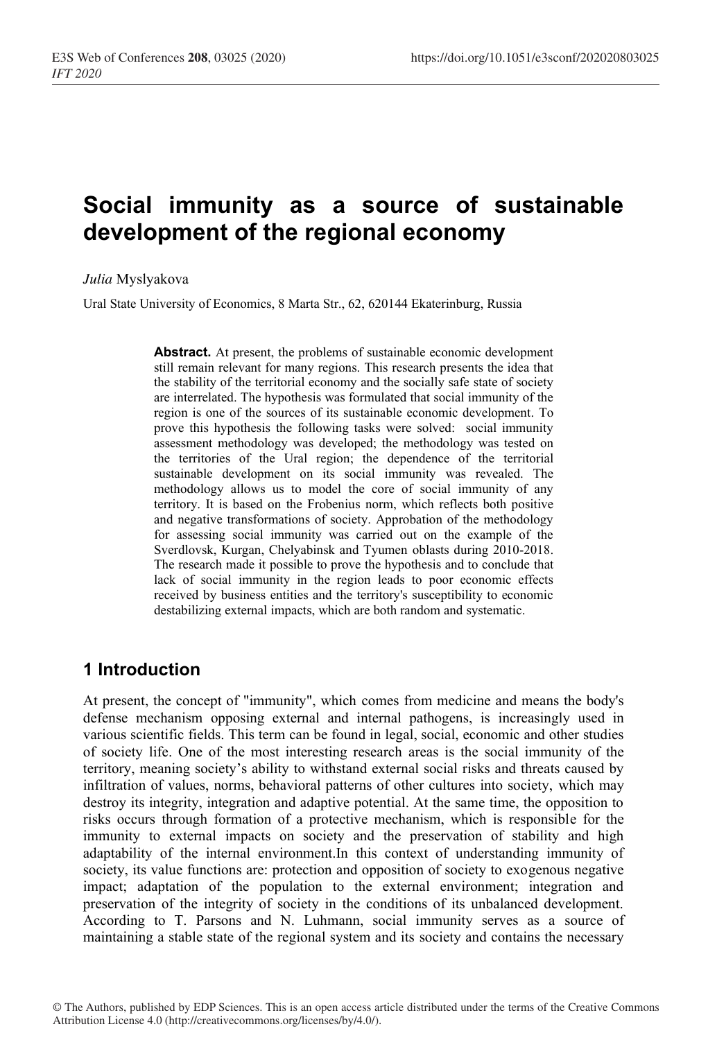# **Social immunity as a source of sustainable development of the regional economy**

*Julia* Myslyakova

Ural State University of Economics, 8 Marta Str., 62, 620144 Ekaterinburg, Russia

**Abstract.** At present, the problems of sustainable economic development still remain relevant for many regions. This research presents the idea that the stability of the territorial economy and the socially safe state of society are interrelated. The hypothesis was formulated that social immunity of the region is one of the sources of its sustainable economic development. To prove this hypothesis the following tasks were solved: social immunity assessment methodology was developed; the methodology was tested on the territories of the Ural region; the dependence of the territorial sustainable development on its social immunity was revealed. The methodology allows us to model the core of social immunity of any territory. It is based on the Frobenius norm, which reflects both positive and negative transformations of society. Approbation of the methodology for assessing social immunity was carried out on the example of the Sverdlovsk, Kurgan, Chelyabinsk and Tyumen oblasts during 2010-2018. The research made it possible to prove the hypothesis and to conclude that lack of social immunity in the region leads to poor economic effects received by business entities and the territory's susceptibility to economic destabilizing external impacts, which are both random and systematic.

## **1 Introduction**

At present, the concept of "immunity", which comes from medicine and means the body's defense mechanism opposing external and internal pathogens, is increasingly used in various scientific fields. This term can be found in legal, social, economic and other studies of society life. One of the most interesting research areas is the social immunity of the territory, meaning society's ability to withstand external social risks and threats caused by infiltration of values, norms, behavioral patterns of other cultures into society, which may destroy its integrity, integration and adaptive potential. At the same time, the opposition to risks occurs through formation of a protective mechanism, which is responsible for the immunity to external impacts on society and the preservation of stability and high adaptability of the internal environment.In this context of understanding immunity of society, its value functions are: protection and opposition of society to exogenous negative impact; adaptation of the population to the external environment; integration and preservation of the integrity of society in the conditions of its unbalanced development. According to T. Parsons and N. Luhmann, social immunity serves as a source of maintaining a stable state of the regional system and its society and contains the necessary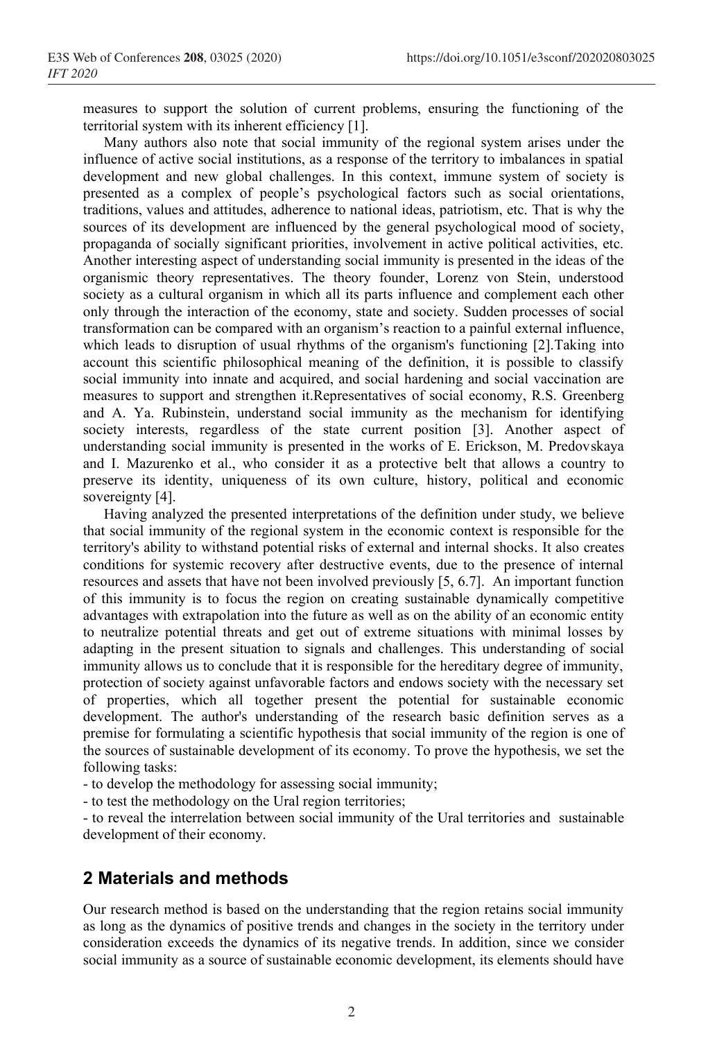measures to support the solution of current problems, ensuring the functioning of the territorial system with its inherent efficiency [1].

Many authors also note that social immunity of the regional system arises under the influence of active social institutions, as a response of the territory to imbalances in spatial development and new global challenges. In this context, immune system of society is presented as a complex of people's psychological factors such as social orientations, traditions, values and attitudes, adherence to national ideas, patriotism, etc. That is why the sources of its development are influenced by the general psychological mood of society, propaganda of socially significant priorities, involvement in active political activities, etc. Another interesting aspect of understanding social immunity is presented in the ideas of the organismic theory representatives. The theory founder, Lorenz von Stein, understood society as a cultural organism in which all its parts influence and complement each other only through the interaction of the economy, state and society. Sudden processes of social transformation can be compared with an organism's reaction to a painful external influence, which leads to disruption of usual rhythms of the organism's functioning [2]. Taking into account this scientific philosophical meaning of the definition, it is possible to classify social immunity into innate and acquired, and social hardening and social vaccination are measures to support and strengthen it.Representatives of social economy, R.S. Greenberg and A. Ya. Rubinstein, understand social immunity as the mechanism for identifying society interests, regardless of the state current position [3]. Another aspect of understanding social immunity is presented in the works of E. Erickson, M. Predovskaya and I. Mazurenko et al., who consider it as a protective belt that allows a country to preserve its identity, uniqueness of its own culture, history, political and economic sovereignty [4].

Having analyzed the presented interpretations of the definition under study, we believe that social immunity of the regional system in the economic context is responsible for the territory's ability to withstand potential risks of external and internal shocks. It also creates conditions for systemic recovery after destructive events, due to the presence of internal resources and assets that have not been involved previously [5, 6.7]. An important function of this immunity is to focus the region on creating sustainable dynamically competitive advantages with extrapolation into the future as well as on the ability of an economic entity to neutralize potential threats and get out of extreme situations with minimal losses by adapting in the present situation to signals and challenges. This understanding of social immunity allows us to conclude that it is responsible for the hereditary degree of immunity, protection of society against unfavorable factors and endows society with the necessary set of properties, which all together present the potential for sustainable economic development. The author's understanding of the research basic definition serves as a premise for formulating a scientific hypothesis that social immunity of the region is one of the sources of sustainable development of its economy. To prove the hypothesis, we set the following tasks:

- to develop the methodology for assessing social immunity;

- to test the methodology on the Ural region territories;

- to reveal the interrelation between social immunity of the Ural territories and sustainable development of their economy.

## **2 Materials and methods**

Our research method is based on the understanding that the region retains social immunity as long as the dynamics of positive trends and changes in the society in the territory under consideration exceeds the dynamics of its negative trends. In addition, since we consider social immunity as a source of sustainable economic development, its elements should have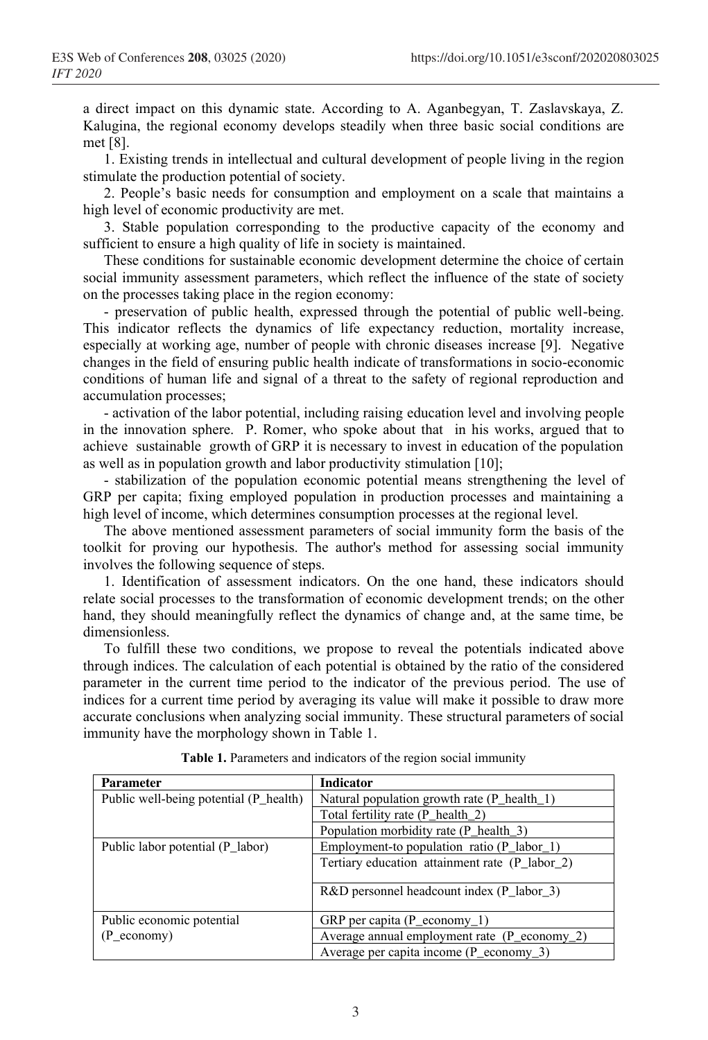a direct impact on this dynamic state. According to A. Aganbegyan, T. Zaslavskaya, Z. Kalugina, the regional economy develops steadily when three basic social conditions are met [8].

1. Existing trends in intellectual and cultural development of people living in the region stimulate the production potential of society.

2. People's basic needs for consumption and employment on a scale that maintains a high level of economic productivity are met.

3. Stable population corresponding to the productive capacity of the economy and sufficient to ensure a high quality of life in society is maintained.

These conditions for sustainable economic development determine the choice of certain social immunity assessment parameters, which reflect the influence of the state of society on the processes taking place in the region economy:

- preservation of public health, expressed through the potential of public well-being. This indicator reflects the dynamics of life expectancy reduction, mortality increase, especially at working age, number of people with chronic diseases increase [9]. Negative changes in the field of ensuring public health indicate of transformations in socio-economic conditions of human life and signal of a threat to the safety of regional reproduction and accumulation processes;

- activation of the labor potential, including raising education level and involving people in the innovation sphere. P. Romer, who spoke about that in his works, argued that to achieve sustainable growth of GRP it is necessary to invest in education of the population as well as in population growth and labor productivity stimulation [10];

- stabilization of the population economic potential means strengthening the level of GRP per capita; fixing employed population in production processes and maintaining a high level of income, which determines consumption processes at the regional level.

The above mentioned assessment parameters of social immunity form the basis of the toolkit for proving our hypothesis. The author's method for assessing social immunity involves the following sequence of steps.

1. Identification of assessment indicators. On the one hand, these indicators should relate social processes to the transformation of economic development trends; on the other hand, they should meaningfully reflect the dynamics of change and, at the same time, be dimensionless.

To fulfill these two conditions, we propose to reveal the potentials indicated above through indices. The calculation of each potential is obtained by the ratio of the considered parameter in the current time period to the indicator of the previous period. The use of indices for a current time period by averaging its value will make it possible to draw more accurate conclusions when analyzing social immunity. These structural parameters of social immunity have the morphology shown in Table 1.

| <b>Parameter</b>                       | <b>Indicator</b>                                         |  |  |
|----------------------------------------|----------------------------------------------------------|--|--|
| Public well-being potential (P_health) | Natural population growth rate (P_health_1)              |  |  |
|                                        | Total fertility rate $(P_{\text{health}} 2)$             |  |  |
|                                        | Population morbidity rate (P_health_3)                   |  |  |
| Public labor potential (P_labor)       | Employment-to population ratio (P_labor_1)               |  |  |
|                                        | Tertiary education attainment rate (P labor 2)           |  |  |
|                                        | $R&D$ personnel headcount index (P labor 3)              |  |  |
| Public economic potential              | GRP per capita $(P_{\text{e}}$ conomy_1)                 |  |  |
| $(P_{\text{economy}})$                 | Average annual employment rate $(P_{\text{e}}$ conomy 2) |  |  |
|                                        | Average per capita income $(P_{\text{e}}$ economy 3)     |  |  |

**Table 1.** Parameters and indicators of the region social immunity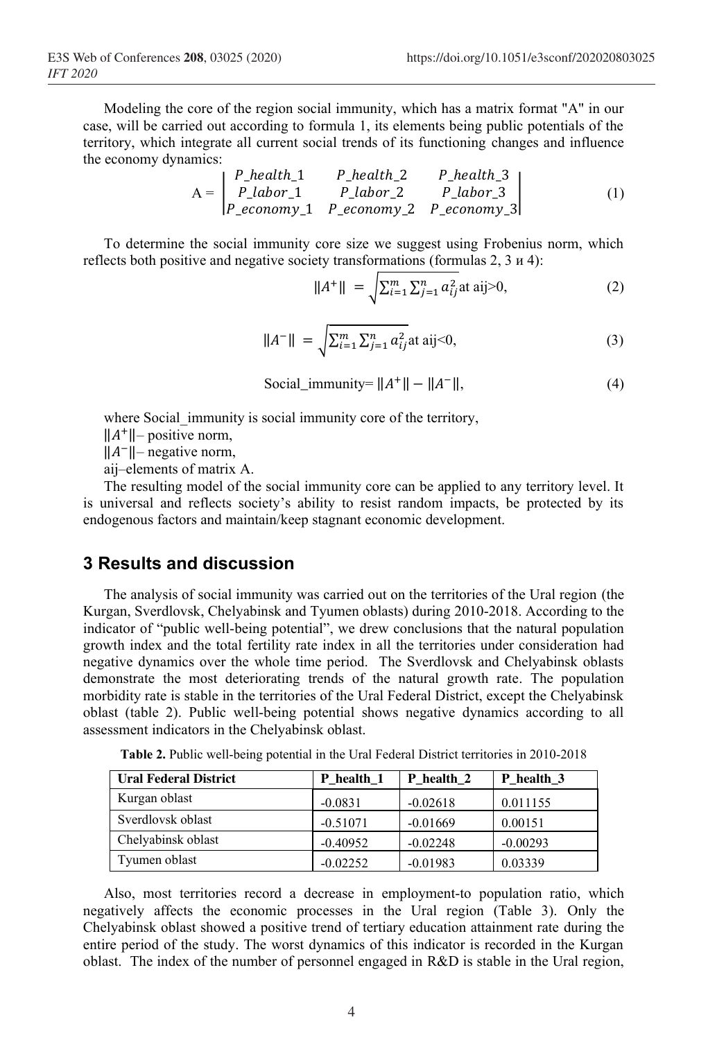Modeling the core of the region social immunity, which has a matrix format "A" in our case, will be carried out according to formula 1, its elements being public potentials of the territory, which integrate all current social trends of its functioning changes and influence the economy dynamics:  $\sim$   $\sim$  $\mathbf{L}$  $\sim$   $\sim$ 

$$
A = \begin{vmatrix} P_{\text{1}} & P_{\text{2}} & P_{\text{2}} & P_{\text{3}} & P_{\text{3}} \\ P_{\text{2}} & P_{\text{3}} & P_{\text{3}} & P_{\text{4}} & P_{\text{5}} \\ P_{\text{3}} & P_{\text{4}} & P_{\text{5}} & P_{\text{6}} & P_{\text{7}} & P_{\text{8}} \\ P_{\text{6}} & P_{\text{7}} & P_{\text{7}} & P_{\text{8}} & P_{\text{8}} & P_{\text{8}} \end{vmatrix}
$$
 (1)

To determine the social immunity core size we suggest using Frobenius norm, which reflects both positive and negative society transformations (formulas 2, 3 и 4):

$$
||A^+|| = \sqrt{\sum_{i=1}^m \sum_{j=1}^n a_{ij}^2}
$$
at aij>0, (2)

$$
||A^{-}|| = \sqrt{\sum_{i=1}^{m} \sum_{j=1}^{n} a_{ij}^{2}} \text{at aij} < 0,\tag{3}
$$

$$
Social\_immunity = ||A^+|| - ||A^-||,
$$
\n(4)

where Social immunity is social immunity core of the territory,

 $||A^+||$ – positive norm,

‖−‖– negative norm,

аij–elements of matrix А.

The resulting model of the social immunity core can be applied to any territory level. It is universal and reflects society's ability to resist random impacts, be protected by its endogenous factors and maintain/keep stagnant economic development.

#### **3 Results and discussion**

The analysis of social immunity was carried out on the territories of the Ural region (the Kurgan, Sverdlovsk, Chelyabinsk and Tyumen oblasts) during 2010-2018. According to the indicator of "public well-being potential", we drew conclusions that the natural population growth index and the total fertility rate index in all the territories under consideration had negative dynamics over the whole time period. The Sverdlovsk and Chelyabinsk oblasts demonstrate the most deteriorating trends of the natural growth rate. The population morbidity rate is stable in the territories of the Ural Federal District, except the Chelyabinsk oblast (table 2). Public well-being potential shows negative dynamics according to all assessment indicators in the Chelyabinsk oblast.

| <b>Ural Federal District</b> | P health 1 | P health 2 | P health 3 |
|------------------------------|------------|------------|------------|
| Kurgan oblast                | $-0.0831$  | $-0.02618$ | 0.011155   |
| Sverdlovsk oblast            | $-0.51071$ | $-0.01669$ | 0.00151    |
| Chelyabinsk oblast           | $-0.40952$ | $-0.02248$ | $-0.00293$ |
| Tyumen oblast                | $-0.02252$ | $-0.01983$ | 0.03339    |

**Table 2.** Public well-being potential in the Ural Federal District territories in 2010-2018

Also, most territories record a decrease in employment-to population ratio, which negatively affects the economic processes in the Ural region (Table 3). Only the Chelyabinsk oblast showed a positive trend of tertiary education attainment rate during the entire period of the study. The worst dynamics of this indicator is recorded in the Kurgan oblast. The index of the number of personnel engaged in R&D is stable in the Ural region,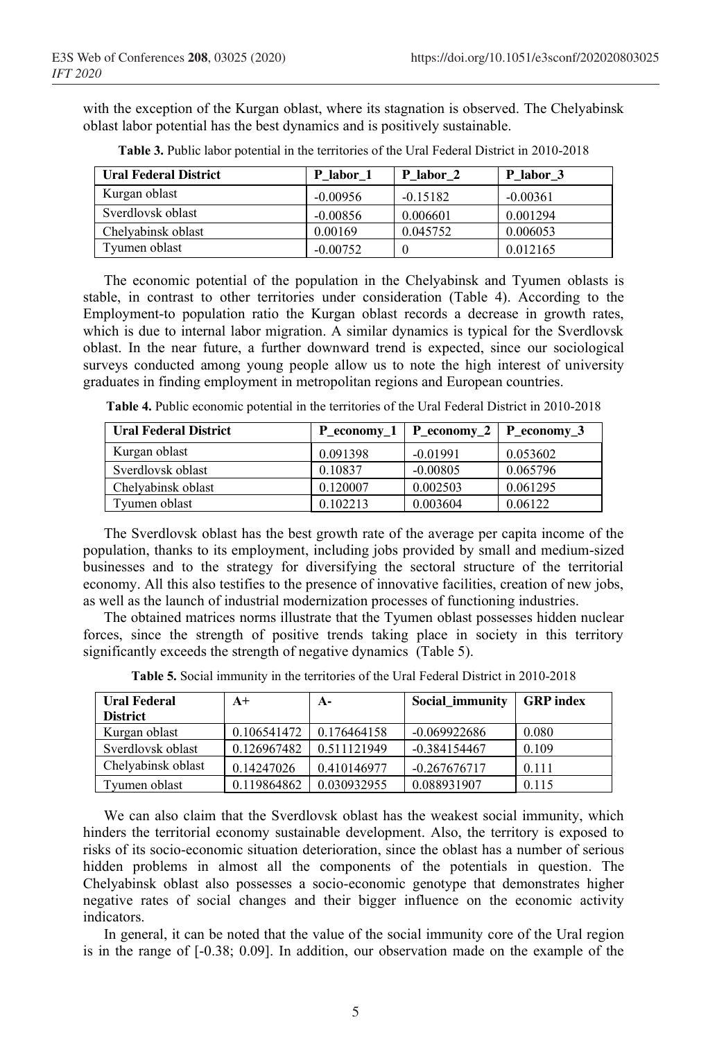with the exception of the Kurgan oblast, where its stagnation is observed. The Chelyabinsk oblast labor potential has the best dynamics and is positively sustainable.

| <b>Ural Federal District</b> | P labor 1  | P labor 2  | P labor 3  |
|------------------------------|------------|------------|------------|
| Kurgan oblast                | $-0.00956$ | $-0.15182$ | $-0.00361$ |
| Sverdlovsk oblast            | $-0.00856$ | 0.006601   | 0.001294   |
| Chelyabinsk oblast           | 0.00169    | 0.045752   | 0.006053   |
| Tyumen oblast                | $-0.00752$ |            | 0.012165   |

**Table 3.** Public labor potential in the territories of the Ural Federal District in 2010-2018

The economic potential of the population in the Chelyabinsk and Tyumen oblasts is stable, in contrast to other territories under consideration (Table 4). According to the Employment-to population ratio the Kurgan oblast records a decrease in growth rates, which is due to internal labor migration. A similar dynamics is typical for the Sverdlovsk oblast. In the near future, a further downward trend is expected, since our sociological surveys conducted among young people allow us to note the high interest of university graduates in finding employment in metropolitan regions and European countries.

**Table 4.** Public economic potential in the territories of the Ural Federal District in 2010-2018

| <b>Ural Federal District</b> |          | P economy $1 \mid P$ economy $2 \mid P$ economy 3 |          |
|------------------------------|----------|---------------------------------------------------|----------|
| Kurgan oblast                | 0.091398 | $-0.01991$                                        | 0.053602 |
| Sverdlovsk oblast            | 0.10837  | $-0.00805$                                        | 0.065796 |
| Chelyabinsk oblast           | 0.120007 | 0.002503                                          | 0.061295 |
| Tvumen oblast                | 0.102213 | 0.003604                                          | 0.06122  |

The Sverdlovsk oblast has the best growth rate of the average per capita income of the population, thanks to its employment, including jobs provided by small and medium-sized businesses and to the strategy for diversifying the sectoral structure of the territorial economy. All this also testifies to the presence of innovative facilities, creation of new jobs, as well as the launch of industrial modernization processes of functioning industries.

The obtained matrices norms illustrate that the Tyumen oblast possesses hidden nuclear forces, since the strength of positive trends taking place in society in this territory significantly exceeds the strength of negative dynamics (Table 5).

| <b>Ural Federal</b><br><b>District</b> | $A+$        | $A-$        | Social immunity | <b>GRP</b> index |
|----------------------------------------|-------------|-------------|-----------------|------------------|
| Kurgan oblast                          | 0.106541472 | 0.176464158 | $-0.069922686$  | 0.080            |
| Sverdlovsk oblast                      | 0.126967482 | 0.511121949 | $-0.384154467$  | 0.109            |
| Chelyabinsk oblast                     | 0.14247026  | 0.410146977 | $-0.267676717$  | 0.111            |
| Tvumen oblast                          | 0.119864862 | 0.030932955 | 0.088931907     | 0.115            |

**Table 5.** Social immunity in the territories of the Ural Federal District in 2010-2018

We can also claim that the Sverdlovsk oblast has the weakest social immunity, which hinders the territorial economy sustainable development. Also, the territory is exposed to risks of its socio-economic situation deterioration, since the oblast has a number of serious hidden problems in almost all the components of the potentials in question. The Chelyabinsk oblast also possesses a socio-economic genotype that demonstrates higher negative rates of social changes and their bigger influence on the economic activity indicators.

In general, it can be noted that the value of the social immunity core of the Ural region is in the range of [-0.38; 0.09]. In addition, our observation made on the example of the